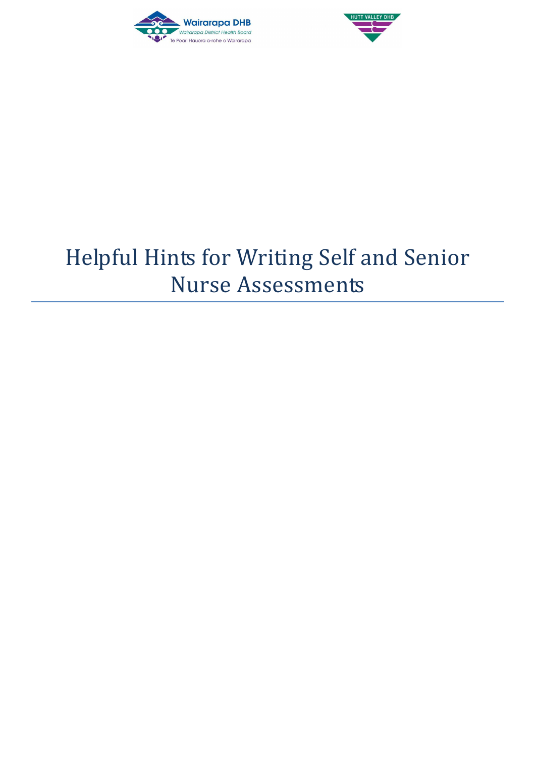



## Helpful Hints for Writing Self and Senior Nurse Assessments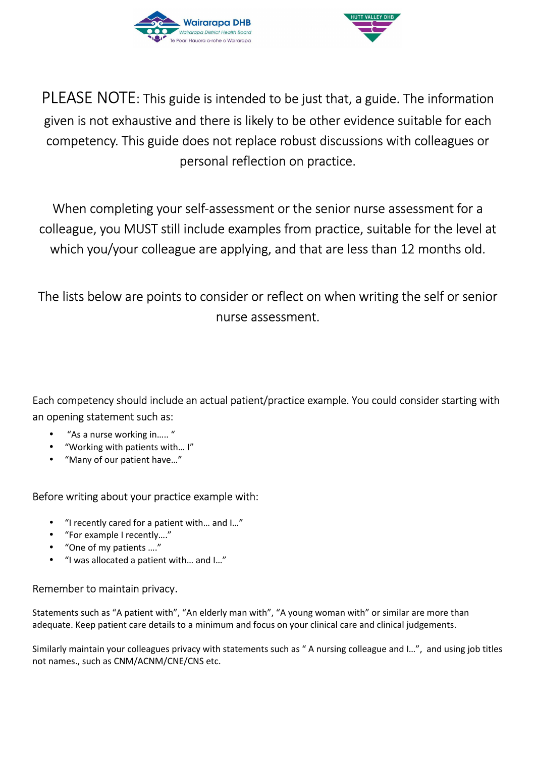



PLEASE NOTE: This guide is intended to be just that, a guide. The information given is not exhaustive and there is likely to be other evidence suitable for each competency. This guide does not replace robust discussions with colleagues or personal reflection on practice.

When completing your self-assessment or the senior nurse assessment for a colleague, you MUST still include examples from practice, suitable for the level at which you/your colleague are applying, and that are less than 12 months old.

The lists below are points to consider or reflect on when writing the self or senior nurse assessment.

Each competency should include an actual patient/practice example. You could consider starting with an opening statement such as:

- "As a nurse working in….. "
- "Working with patients with… I"
- "Many of our patient have…"

## Before writing about your practice example with:

- "I recently cared for a patient with… and I…"
- "For example I recently…."
- "One of my patients …."
- "I was allocated a patient with… and I…"

## Remember to maintain privacy.

Statements such as "A patient with", "An elderly man with", "A young woman with" or similar are more than adequate. Keep patient care details to a minimum and focus on your clinical care and clinical judgements.

Similarly maintain your colleagues privacy with statements such as " A nursing colleague and I…", and using job titles not names., such as CNM/ACNM/CNE/CNS etc.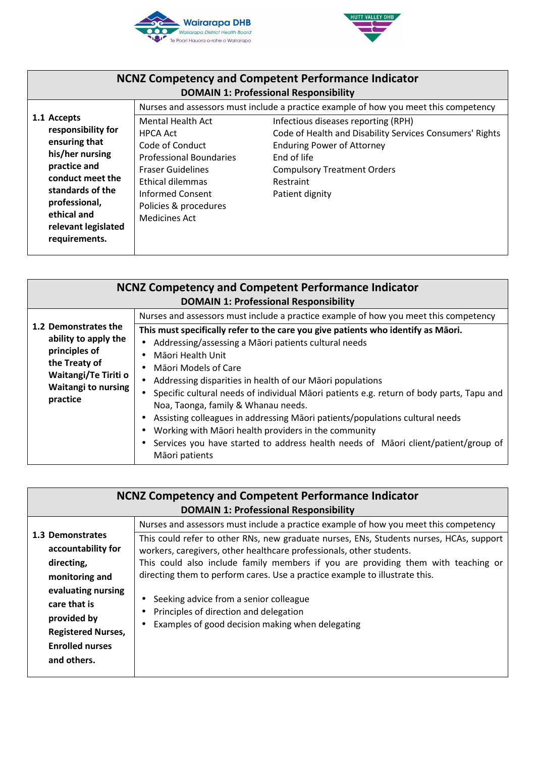



| <b>NCNZ Competency and Competent Performance Indicator</b><br><b>DOMAIN 1: Professional Responsibility</b>                                                                                            |                                                                                                                                                                                                                       |                                                                                                                                                                                                                                                                                                                   |
|-------------------------------------------------------------------------------------------------------------------------------------------------------------------------------------------------------|-----------------------------------------------------------------------------------------------------------------------------------------------------------------------------------------------------------------------|-------------------------------------------------------------------------------------------------------------------------------------------------------------------------------------------------------------------------------------------------------------------------------------------------------------------|
| 1.1 Accepts<br>responsibility for<br>ensuring that<br>his/her nursing<br>practice and<br>conduct meet the<br>standards of the<br>professional,<br>ethical and<br>relevant legislated<br>requirements. | Mental Health Act<br><b>HPCA Act</b><br>Code of Conduct<br><b>Professional Boundaries</b><br><b>Fraser Guidelines</b><br>Ethical dilemmas<br><b>Informed Consent</b><br>Policies & procedures<br><b>Medicines Act</b> | Nurses and assessors must include a practice example of how you meet this competency<br>Infectious diseases reporting (RPH)<br>Code of Health and Disability Services Consumers' Rights<br><b>Enduring Power of Attorney</b><br>End of life<br><b>Compulsory Treatment Orders</b><br>Restraint<br>Patient dignity |

| <b>NCNZ Competency and Competent Performance Indicator</b>                                                                      |                                                                                          |  |
|---------------------------------------------------------------------------------------------------------------------------------|------------------------------------------------------------------------------------------|--|
|                                                                                                                                 | <b>DOMAIN 1: Professional Responsibility</b>                                             |  |
|                                                                                                                                 | Nurses and assessors must include a practice example of how you meet this competency     |  |
| 1.2 Demonstrates the                                                                                                            | This must specifically refer to the care you give patients who identify as Māori.        |  |
| ability to apply the<br>principles of<br>the Treaty of<br><b>Waitangi/Te Tiriti o</b><br><b>Waitangi to nursing</b><br>practice | Addressing/assessing a Māori patients cultural needs                                     |  |
|                                                                                                                                 | Māori Health Unit                                                                        |  |
|                                                                                                                                 | Māori Models of Care                                                                     |  |
|                                                                                                                                 | Addressing disparities in health of our Māori populations                                |  |
|                                                                                                                                 | Specific cultural needs of individual Māori patients e.g. return of body parts, Tapu and |  |
|                                                                                                                                 | Noa, Taonga, family & Whanau needs.                                                      |  |
|                                                                                                                                 | Assisting colleagues in addressing Māori patients/populations cultural needs             |  |
|                                                                                                                                 | Working with Māori health providers in the community                                     |  |
|                                                                                                                                 | Services you have started to address health needs of Maori client/patient/group of       |  |
|                                                                                                                                 | Māori patients                                                                           |  |

| <b>NCNZ Competency and Competent Performance Indicator</b> |                                                                                         |  |
|------------------------------------------------------------|-----------------------------------------------------------------------------------------|--|
|                                                            | <b>DOMAIN 1: Professional Responsibility</b>                                            |  |
|                                                            | Nurses and assessors must include a practice example of how you meet this competency    |  |
| 1.3 Demonstrates                                           | This could refer to other RNs, new graduate nurses, ENs, Students nurses, HCAs, support |  |
| accountability for                                         | workers, caregivers, other healthcare professionals, other students.                    |  |
| directing,                                                 | This could also include family members if you are providing them with teaching or       |  |
| monitoring and                                             | directing them to perform cares. Use a practice example to illustrate this.             |  |
| evaluating nursing                                         |                                                                                         |  |
| care that is                                               | Seeking advice from a senior colleague                                                  |  |
| provided by                                                | Principles of direction and delegation                                                  |  |
| <b>Registered Nurses,</b>                                  | Examples of good decision making when delegating                                        |  |
| <b>Enrolled nurses</b>                                     |                                                                                         |  |
|                                                            |                                                                                         |  |
| and others.                                                |                                                                                         |  |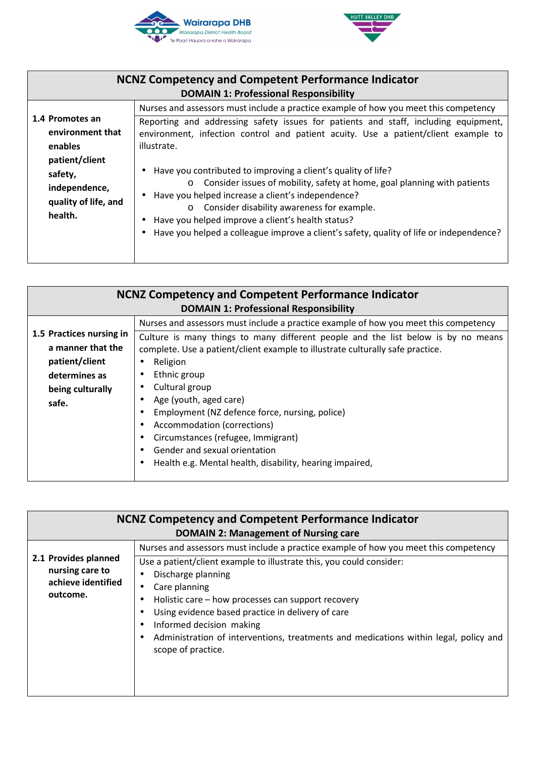



| <b>NCNZ Competency and Competent Performance Indicator</b><br><b>DOMAIN 1: Professional Responsibility</b>                      |                                                                                                                                                                                                                                                                                                                                                                                                                                                                                                                                                                                                                                                                                          |  |
|---------------------------------------------------------------------------------------------------------------------------------|------------------------------------------------------------------------------------------------------------------------------------------------------------------------------------------------------------------------------------------------------------------------------------------------------------------------------------------------------------------------------------------------------------------------------------------------------------------------------------------------------------------------------------------------------------------------------------------------------------------------------------------------------------------------------------------|--|
| 1.4 Promotes an<br>environment that<br>enables<br>patient/client<br>safety,<br>independence,<br>quality of life, and<br>health. | Nurses and assessors must include a practice example of how you meet this competency<br>Reporting and addressing safety issues for patients and staff, including equipment,<br>environment, infection control and patient acuity. Use a patient/client example to<br>illustrate.<br>• Have you contributed to improving a client's quality of life?<br>o Consider issues of mobility, safety at home, goal planning with patients<br>• Have you helped increase a client's independence?<br>o Consider disability awareness for example.<br>Have you helped improve a client's health status?<br>Have you helped a colleague improve a client's safety, quality of life or independence? |  |
|                                                                                                                                 |                                                                                                                                                                                                                                                                                                                                                                                                                                                                                                                                                                                                                                                                                          |  |

| <b>NCNZ Competency and Competent Performance Indicator</b>                                                    |                                                                                                                                                                                                                                                                                                                                                                                                                                                    |  |
|---------------------------------------------------------------------------------------------------------------|----------------------------------------------------------------------------------------------------------------------------------------------------------------------------------------------------------------------------------------------------------------------------------------------------------------------------------------------------------------------------------------------------------------------------------------------------|--|
| 1.5 Practices nursing in<br>a manner that the<br>patient/client<br>determines as<br>being culturally<br>safe. | <b>DOMAIN 1: Professional Responsibility</b><br>Nurses and assessors must include a practice example of how you meet this competency<br>Culture is many things to many different people and the list below is by no means<br>complete. Use a patient/client example to illustrate culturally safe practice.<br>Religion<br>$\bullet$<br>Ethnic group<br>Cultural group<br>Age (youth, aged care)<br>Employment (NZ defence force, nursing, police) |  |
|                                                                                                               | Accommodation (corrections)<br>Circumstances (refugee, Immigrant)<br>Gender and sexual orientation<br>Health e.g. Mental health, disability, hearing impaired,                                                                                                                                                                                                                                                                                     |  |

| Nurses and assessors must include a practice example of how you meet this competency<br>2.1 Provides planned<br>Use a patient/client example to illustrate this, you could consider:<br>nursing care to<br>Discharge planning<br>achieve identified<br>Care planning<br>outcome.<br>Holistic care – how processes can support recovery | <b>NCNZ Competency and Competent Performance Indicator</b><br><b>DOMAIN 2: Management of Nursing care</b> |                                                   |  |
|----------------------------------------------------------------------------------------------------------------------------------------------------------------------------------------------------------------------------------------------------------------------------------------------------------------------------------------|-----------------------------------------------------------------------------------------------------------|---------------------------------------------------|--|
| Informed decision making<br>Administration of interventions, treatments and medications within legal, policy and<br>scope of practice.                                                                                                                                                                                                 |                                                                                                           | Using evidence based practice in delivery of care |  |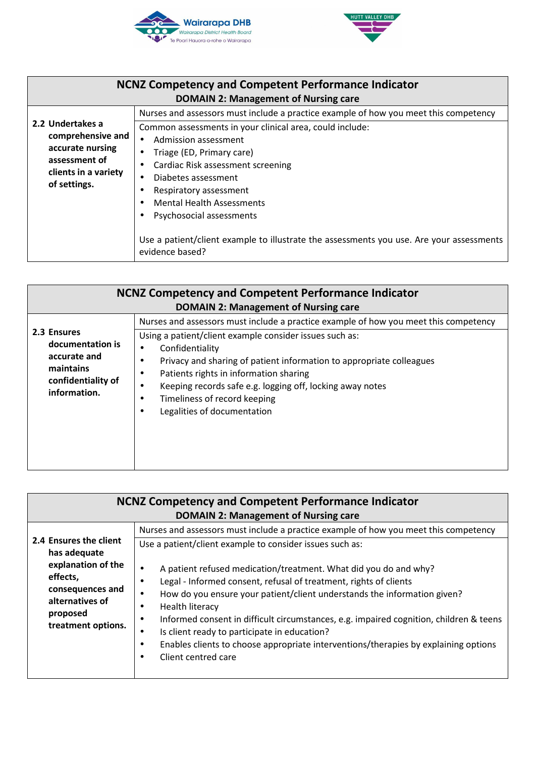



| <b>NCNZ Competency and Competent Performance Indicator</b><br><b>DOMAIN 2: Management of Nursing care</b>          |                                                                                                                                                                                                                                                                                             |
|--------------------------------------------------------------------------------------------------------------------|---------------------------------------------------------------------------------------------------------------------------------------------------------------------------------------------------------------------------------------------------------------------------------------------|
| 2.2 Undertakes a<br>comprehensive and<br>accurate nursing<br>assessment of<br>clients in a variety<br>of settings. | Nurses and assessors must include a practice example of how you meet this competency<br>Common assessments in your clinical area, could include:<br>Admission assessment<br>Triage (ED, Primary care)<br>Cardiac Risk assessment screening<br>Diabetes assessment<br>Respiratory assessment |
|                                                                                                                    | <b>Mental Health Assessments</b><br>Psychosocial assessments<br>Use a patient/client example to illustrate the assessments you use. Are your assessments<br>evidence based?                                                                                                                 |

|                                                                                                    | <b>NCNZ Competency and Competent Performance Indicator</b><br><b>DOMAIN 2: Management of Nursing care</b>                                                                                                                                                                                                                                                                                                                                                            |
|----------------------------------------------------------------------------------------------------|----------------------------------------------------------------------------------------------------------------------------------------------------------------------------------------------------------------------------------------------------------------------------------------------------------------------------------------------------------------------------------------------------------------------------------------------------------------------|
| 2.3 Ensures<br>documentation is<br>accurate and<br>maintains<br>confidentiality of<br>information. | Nurses and assessors must include a practice example of how you meet this competency<br>Using a patient/client example consider issues such as:<br>Confidentiality<br>$\bullet$<br>Privacy and sharing of patient information to appropriate colleagues<br>$\bullet$<br>Patients rights in information sharing<br>$\bullet$<br>Keeping records safe e.g. logging off, locking away notes<br>$\bullet$<br>Timeliness of record keeping<br>Legalities of documentation |
|                                                                                                    |                                                                                                                                                                                                                                                                                                                                                                                                                                                                      |

| <b>NCNZ Competency and Competent Performance Indicator</b>                                              |                                                                                                                                                                                                                                                                                                                                                                                                                                                                                                                                                    |  |
|---------------------------------------------------------------------------------------------------------|----------------------------------------------------------------------------------------------------------------------------------------------------------------------------------------------------------------------------------------------------------------------------------------------------------------------------------------------------------------------------------------------------------------------------------------------------------------------------------------------------------------------------------------------------|--|
|                                                                                                         | <b>DOMAIN 2: Management of Nursing care</b>                                                                                                                                                                                                                                                                                                                                                                                                                                                                                                        |  |
|                                                                                                         | Nurses and assessors must include a practice example of how you meet this competency                                                                                                                                                                                                                                                                                                                                                                                                                                                               |  |
| 2.4 Ensures the client<br>has adequate                                                                  | Use a patient/client example to consider issues such as:                                                                                                                                                                                                                                                                                                                                                                                                                                                                                           |  |
| explanation of the<br>effects,<br>consequences and<br>alternatives of<br>proposed<br>treatment options. | A patient refused medication/treatment. What did you do and why?<br>$\bullet$<br>Legal - Informed consent, refusal of treatment, rights of clients<br>$\bullet$<br>How do you ensure your patient/client understands the information given?<br>Health literacy<br>Informed consent in difficult circumstances, e.g. impaired cognition, children & teens<br>$\bullet$<br>Is client ready to participate in education?<br>٠<br>Enables clients to choose appropriate interventions/therapies by explaining options<br>٠<br>Client centred care<br>٠ |  |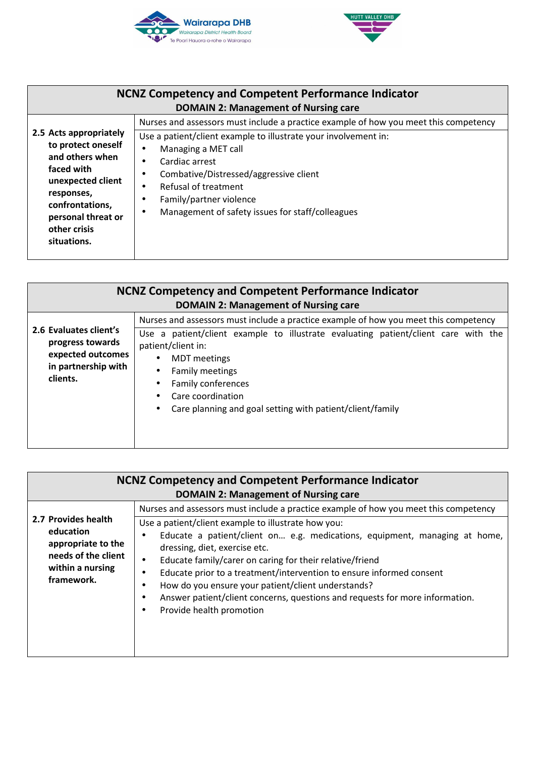



|                                                                                                                                                                                          | <b>NCNZ Competency and Competent Performance Indicator</b><br><b>DOMAIN 2: Management of Nursing care</b>                                                                                                                                                                                                                                                      |
|------------------------------------------------------------------------------------------------------------------------------------------------------------------------------------------|----------------------------------------------------------------------------------------------------------------------------------------------------------------------------------------------------------------------------------------------------------------------------------------------------------------------------------------------------------------|
| 2.5 Acts appropriately<br>to protect oneself<br>and others when<br>faced with<br>unexpected client<br>responses,<br>confrontations,<br>personal threat or<br>other crisis<br>situations. | Nurses and assessors must include a practice example of how you meet this competency<br>Use a patient/client example to illustrate your involvement in:<br>Managing a MET call<br>$\bullet$<br>Cardiac arrest<br>Combative/Distressed/aggressive client<br>Refusal of treatment<br>Family/partner violence<br>Management of safety issues for staff/colleagues |

|                                                                                                    | <b>NCNZ Competency and Competent Performance Indicator</b><br><b>DOMAIN 2: Management of Nursing care</b>                                                                                                                                                                  |
|----------------------------------------------------------------------------------------------------|----------------------------------------------------------------------------------------------------------------------------------------------------------------------------------------------------------------------------------------------------------------------------|
|                                                                                                    | Nurses and assessors must include a practice example of how you meet this competency                                                                                                                                                                                       |
| 2.6 Evaluates client's<br>progress towards<br>expected outcomes<br>in partnership with<br>clients. | patient/client example to illustrate evaluating patient/client care with the<br>Use a<br>patient/client in:<br><b>MDT</b> meetings<br>$\bullet$<br>Family meetings<br>Family conferences<br>Care coordination<br>Care planning and goal setting with patient/client/family |

|                                                                                                                 | <b>NCNZ Competency and Competent Performance Indicator</b><br><b>DOMAIN 2: Management of Nursing care</b>                                                                                                                                                                                                                                                                                                                                                                                                                                                                     |
|-----------------------------------------------------------------------------------------------------------------|-------------------------------------------------------------------------------------------------------------------------------------------------------------------------------------------------------------------------------------------------------------------------------------------------------------------------------------------------------------------------------------------------------------------------------------------------------------------------------------------------------------------------------------------------------------------------------|
| 2.7 Provides health<br>education<br>appropriate to the<br>needs of the client<br>within a nursing<br>framework. | Nurses and assessors must include a practice example of how you meet this competency<br>Use a patient/client example to illustrate how you:<br>Educate a patient/client on e.g. medications, equipment, managing at home,<br>dressing, diet, exercise etc.<br>Educate family/carer on caring for their relative/friend<br>$\bullet$<br>Educate prior to a treatment/intervention to ensure informed consent<br>How do you ensure your patient/client understands?<br>Answer patient/client concerns, questions and requests for more information.<br>Provide health promotion |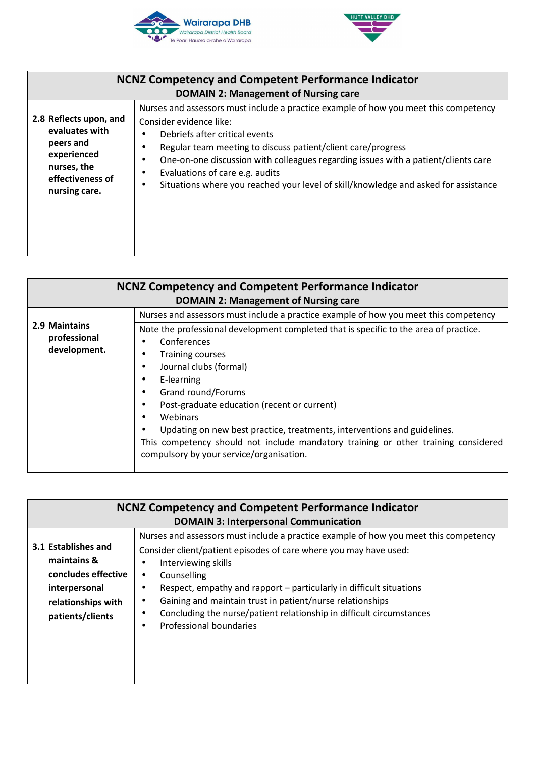



| <b>NCNZ Competency and Competent Performance Indicator</b><br><b>DOMAIN 2: Management of Nursing care</b>                |                                                                                                                                                                                                                                                                                                                                                                                                                                   |
|--------------------------------------------------------------------------------------------------------------------------|-----------------------------------------------------------------------------------------------------------------------------------------------------------------------------------------------------------------------------------------------------------------------------------------------------------------------------------------------------------------------------------------------------------------------------------|
| 2.8 Reflects upon, and<br>evaluates with<br>peers and<br>experienced<br>nurses, the<br>effectiveness of<br>nursing care. | Nurses and assessors must include a practice example of how you meet this competency<br>Consider evidence like:<br>Debriefs after critical events<br>Regular team meeting to discuss patient/client care/progress<br>One-on-one discussion with colleagues regarding issues with a patient/clients care<br>Evaluations of care e.g. audits<br>Situations where you reached your level of skill/knowledge and asked for assistance |
|                                                                                                                          |                                                                                                                                                                                                                                                                                                                                                                                                                                   |

| <b>NCNZ Competency and Competent Performance Indicator</b><br><b>DOMAIN 2: Management of Nursing care</b> |                                                                                                                                                                                                                                                                                                                                                                                                                                                                                                                                                                             |
|-----------------------------------------------------------------------------------------------------------|-----------------------------------------------------------------------------------------------------------------------------------------------------------------------------------------------------------------------------------------------------------------------------------------------------------------------------------------------------------------------------------------------------------------------------------------------------------------------------------------------------------------------------------------------------------------------------|
| 2.9 Maintains<br>professional<br>development.                                                             | Nurses and assessors must include a practice example of how you meet this competency<br>Note the professional development completed that is specific to the area of practice.<br>Conferences<br><b>Training courses</b><br>Journal clubs (formal)<br>E-learning<br>Grand round/Forums<br>Post-graduate education (recent or current)<br>Webinars<br>$\bullet$<br>Updating on new best practice, treatments, interventions and guidelines.<br>This competency should not include mandatory training or other training considered<br>compulsory by your service/organisation. |

| <b>NCNZ Competency and Competent Performance Indicator</b> |                                                                                      |  |
|------------------------------------------------------------|--------------------------------------------------------------------------------------|--|
|                                                            |                                                                                      |  |
|                                                            | <b>DOMAIN 3: Interpersonal Communication</b>                                         |  |
|                                                            | Nurses and assessors must include a practice example of how you meet this competency |  |
| 3.1 Establishes and                                        | Consider client/patient episodes of care where you may have used:                    |  |
| maintains &                                                | Interviewing skills                                                                  |  |
| concludes effective                                        | Counselling                                                                          |  |
| interpersonal                                              | Respect, empathy and rapport – particularly in difficult situations                  |  |
| relationships with                                         | Gaining and maintain trust in patient/nurse relationships<br>$\bullet$               |  |
| patients/clients                                           | Concluding the nurse/patient relationship in difficult circumstances                 |  |
|                                                            | Professional boundaries                                                              |  |
|                                                            |                                                                                      |  |
|                                                            |                                                                                      |  |
|                                                            |                                                                                      |  |
|                                                            |                                                                                      |  |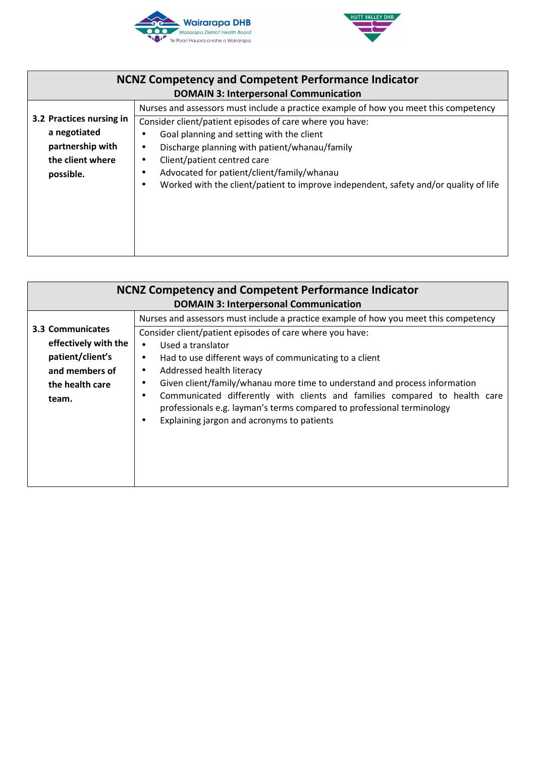



| <b>NCNZ Competency and Competent Performance Indicator</b> |                                                                                                   |
|------------------------------------------------------------|---------------------------------------------------------------------------------------------------|
|                                                            | <b>DOMAIN 3: Interpersonal Communication</b>                                                      |
|                                                            | Nurses and assessors must include a practice example of how you meet this competency              |
| 3.2 Practices nursing in                                   | Consider client/patient episodes of care where you have:                                          |
| a negotiated                                               | Goal planning and setting with the client                                                         |
| partnership with                                           | Discharge planning with patient/whanau/family<br>٠                                                |
| the client where                                           | Client/patient centred care<br>٠                                                                  |
| possible.                                                  | Advocated for patient/client/family/whanau                                                        |
|                                                            | Worked with the client/patient to improve independent, safety and/or quality of life<br>$\bullet$ |
|                                                            |                                                                                                   |
|                                                            |                                                                                                   |
|                                                            |                                                                                                   |
|                                                            |                                                                                                   |

| <b>NCNZ Competency and Competent Performance Indicator</b><br><b>DOMAIN 3: Interpersonal Communication</b> |                                                                                                                                                                                                                                                                                                                                                                                                                                                                                                                                                                                                                   |
|------------------------------------------------------------------------------------------------------------|-------------------------------------------------------------------------------------------------------------------------------------------------------------------------------------------------------------------------------------------------------------------------------------------------------------------------------------------------------------------------------------------------------------------------------------------------------------------------------------------------------------------------------------------------------------------------------------------------------------------|
| 3.3 Communicates<br>effectively with the<br>patient/client's<br>and members of<br>the health care<br>team. | Nurses and assessors must include a practice example of how you meet this competency<br>Consider client/patient episodes of care where you have:<br>Used a translator<br>Had to use different ways of communicating to a client<br>$\bullet$<br>Addressed health literacy<br>$\bullet$<br>Given client/family/whanau more time to understand and process information<br>$\bullet$<br>Communicated differently with clients and families compared to health care<br>$\bullet$<br>professionals e.g. layman's terms compared to professional terminology<br>Explaining jargon and acronyms to patients<br>$\bullet$ |